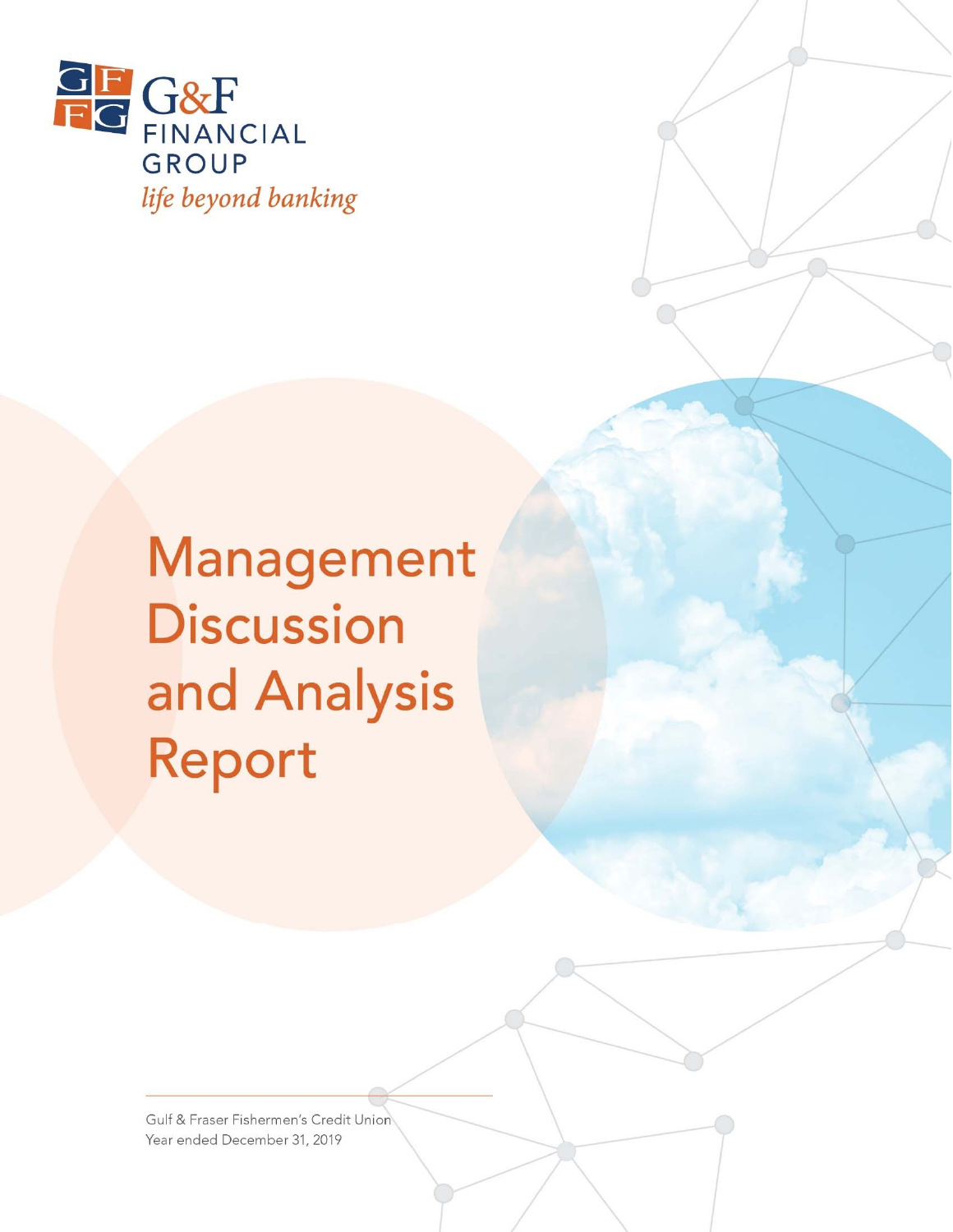

Management **Discussion** and Analysis Report

Gulf & Fraser Fishermen's Credit Union Year ended December 31, 2019

 $G_F$  Financial Group  $\mathcal{A}$  and  $\mathcal{A}$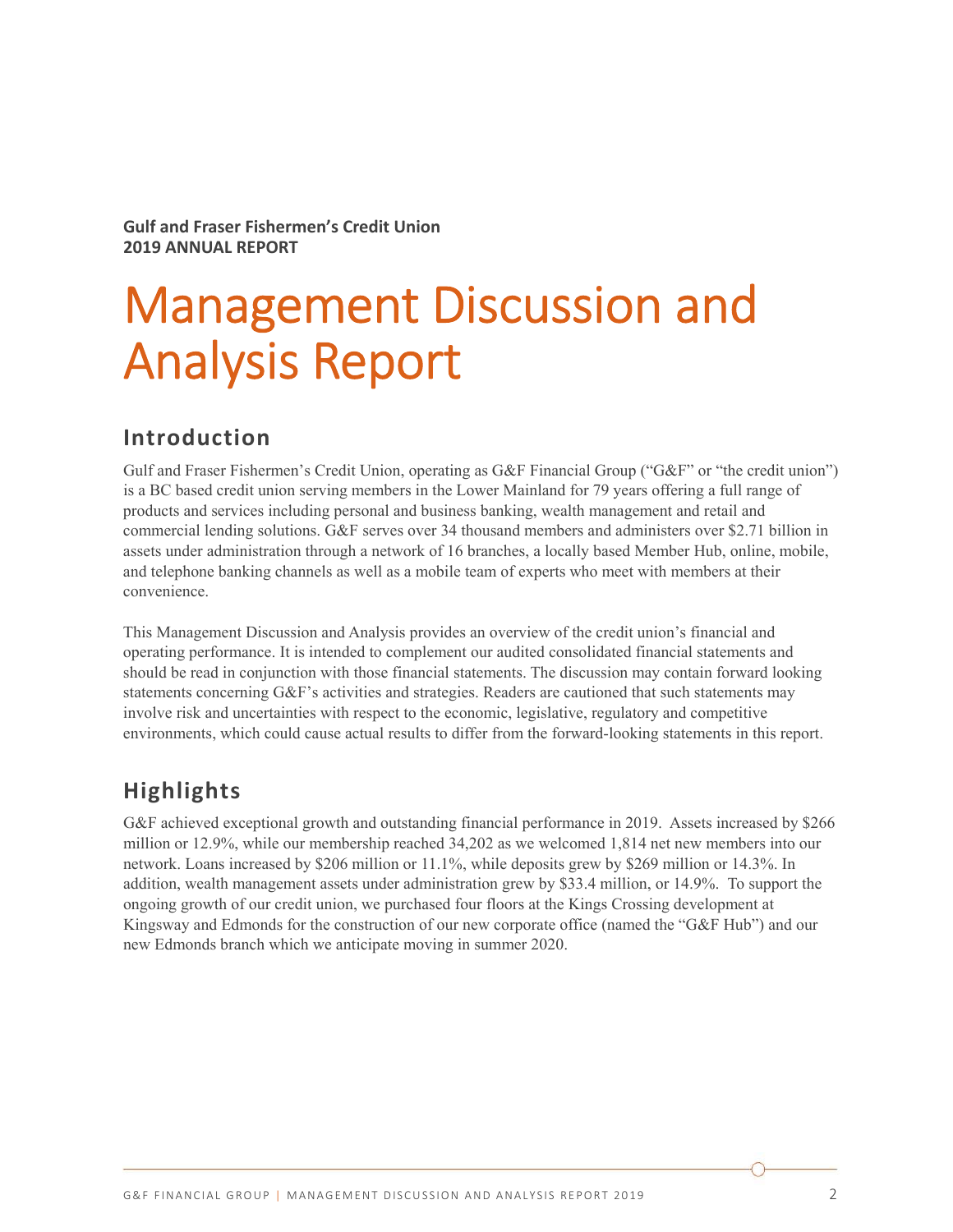**Gulf and Fraser Fishermen's Credit Union 2019 ANNUAL REPORT** 

# Management Discussion and Analysis Report

## **Introduction**

Gulf and Fraser Fishermen's Credit Union, operating as G&F Financial Group ("G&F" or "the credit union") is a BC based credit union serving members in the Lower Mainland for 79 years offering a full range of products and services including personal and business banking, wealth management and retail and commercial lending solutions. G&F serves over 34 thousand members and administers over \$2.71 billion in assets under administration through a network of 16 branches, a locally based Member Hub, online, mobile, and telephone banking channels as well as a mobile team of experts who meet with members at their convenience.

This Management Discussion and Analysis provides an overview of the credit union's financial and operating performance. It is intended to complement our audited consolidated financial statements and should be read in conjunction with those financial statements. The discussion may contain forward looking statements concerning G&F's activities and strategies. Readers are cautioned that such statements may involve risk and uncertainties with respect to the economic, legislative, regulatory and competitive environments, which could cause actual results to differ from the forward-looking statements in this report.

## **Highlights**

G&F achieved exceptional growth and outstanding financial performance in 2019. Assets increased by \$266 million or 12.9%, while our membership reached 34,202 as we welcomed 1,814 net new members into our network. Loans increased by \$206 million or 11.1%, while deposits grew by \$269 million or 14.3%. In addition, wealth management assets under administration grew by \$33.4 million, or 14.9%. To support the ongoing growth of our credit union, we purchased four floors at the Kings Crossing development at Kingsway and Edmonds for the construction of our new corporate office (named the "G&F Hub") and our new Edmonds branch which we anticipate moving in summer 2020.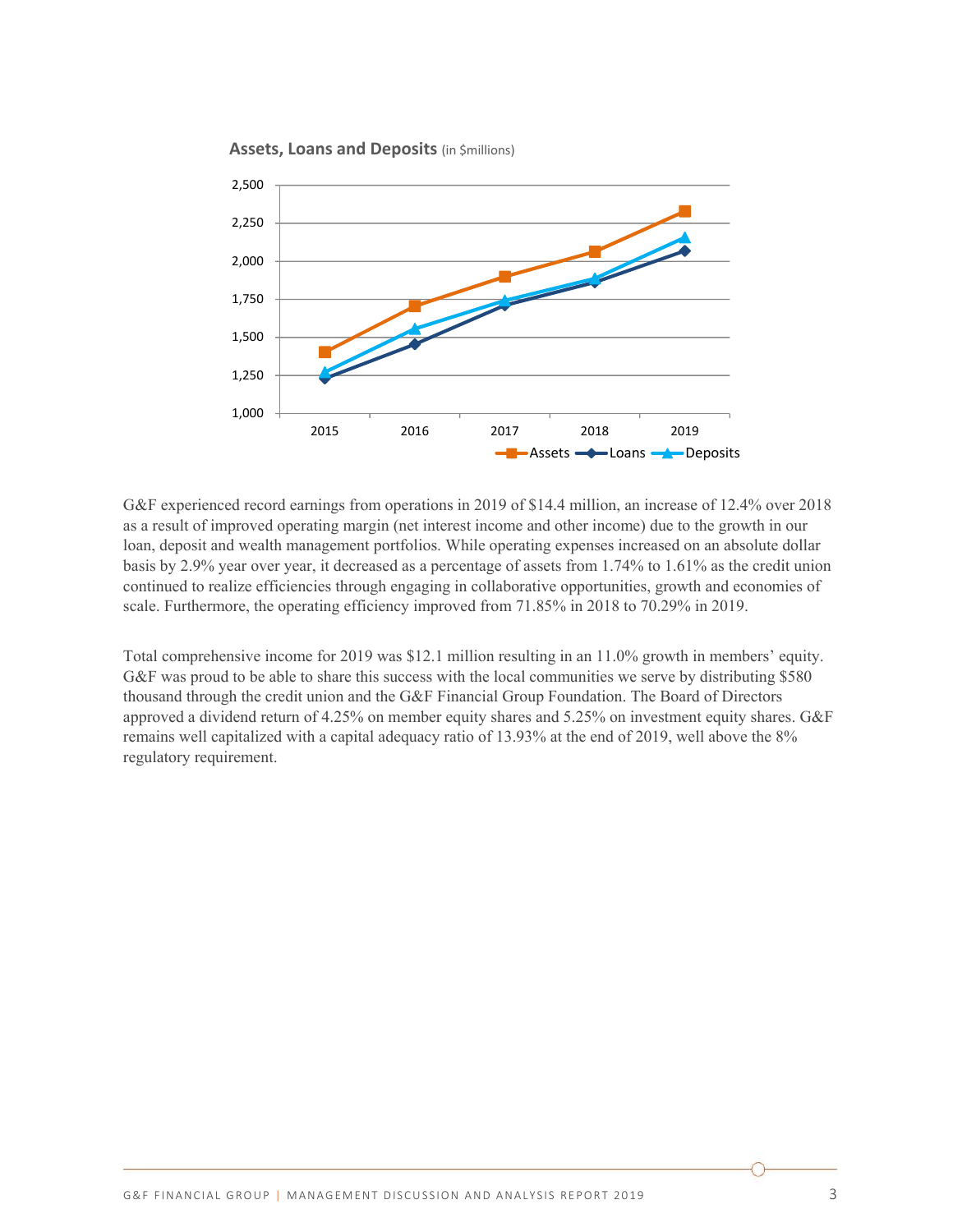



G&F experienced record earnings from operations in 2019 of \$14.4 million, an increase of 12.4% over 2018 as a result of improved operating margin (net interest income and other income) due to the growth in our loan, deposit and wealth management portfolios. While operating expenses increased on an absolute dollar basis by 2.9% year over year, it decreased as a percentage of assets from 1.74% to 1.61% as the credit union continued to realize efficiencies through engaging in collaborative opportunities, growth and economies of scale. Furthermore, the operating efficiency improved from 71.85% in 2018 to 70.29% in 2019.

Total comprehensive income for 2019 was \$12.1 million resulting in an 11.0% growth in members' equity. G&F was proud to be able to share this success with the local communities we serve by distributing \$580 thousand through the credit union and the G&F Financial Group Foundation. The Board of Directors approved a dividend return of 4.25% on member equity shares and 5.25% on investment equity shares. G&F remains well capitalized with a capital adequacy ratio of 13.93% at the end of 2019, well above the 8% regulatory requirement.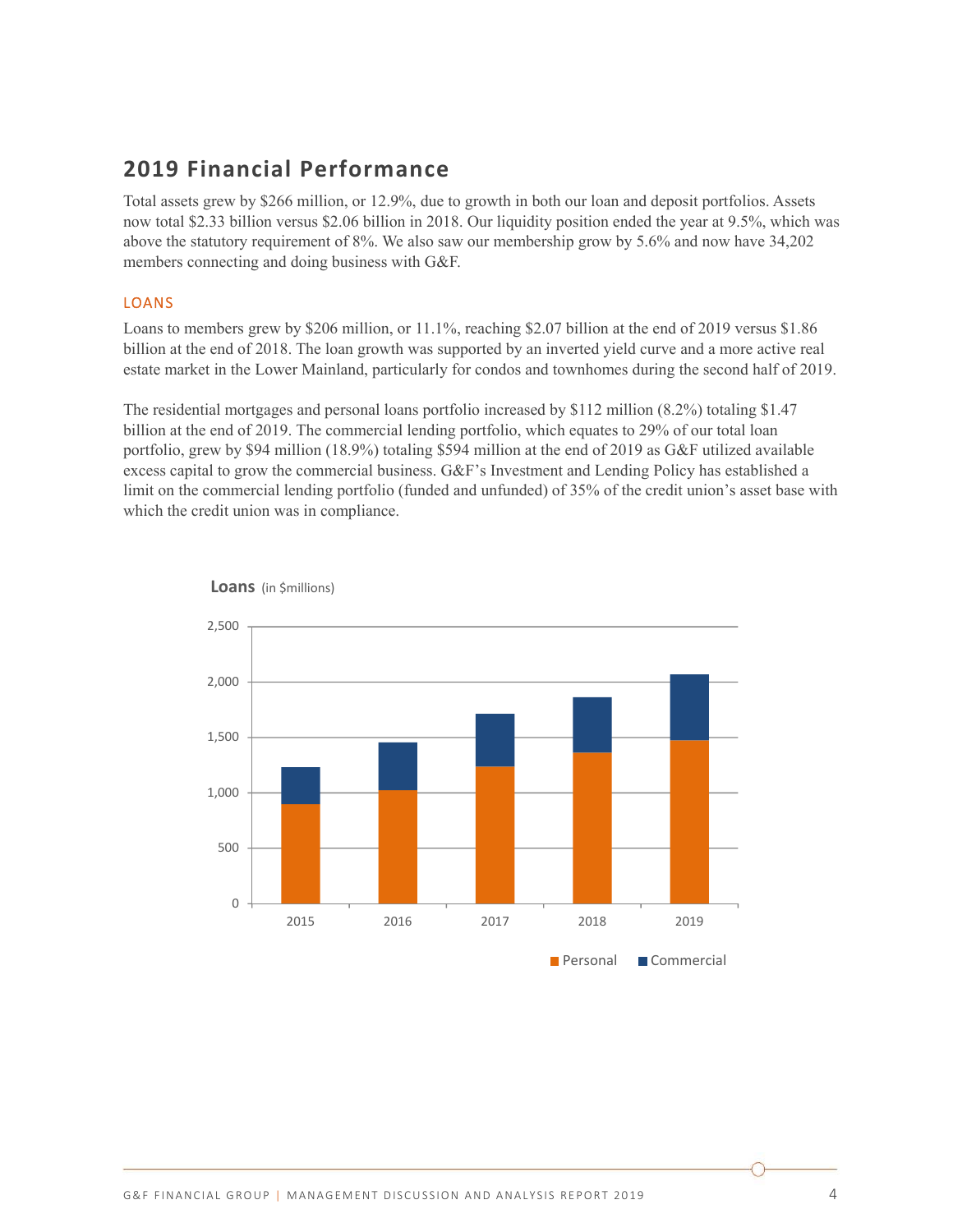# **2019 Financial Performance**

Total assets grew by \$266 million, or 12.9%, due to growth in both our loan and deposit portfolios. Assets now total \$2.33 billion versus \$2.06 billion in 2018. Our liquidity position ended the year at 9.5%, which was above the statutory requirement of 8%. We also saw our membership grow by 5.6% and now have 34,202 members connecting and doing business with G&F.

## LOANS

Loans to members grew by \$206 million, or 11.1%, reaching \$2.07 billion at the end of 2019 versus \$1.86 billion at the end of 2018. The loan growth was supported by an inverted yield curve and a more active real estate market in the Lower Mainland, particularly for condos and townhomes during the second half of 2019.

The residential mortgages and personal loans portfolio increased by \$112 million (8.2%) totaling \$1.47 billion at the end of 2019. The commercial lending portfolio, which equates to 29% of our total loan portfolio, grew by \$94 million (18.9%) totaling \$594 million at the end of 2019 as G&F utilized available excess capital to grow the commercial business. G&F's Investment and Lending Policy has established a limit on the commercial lending portfolio (funded and unfunded) of 35% of the credit union's asset base with which the credit union was in compliance.



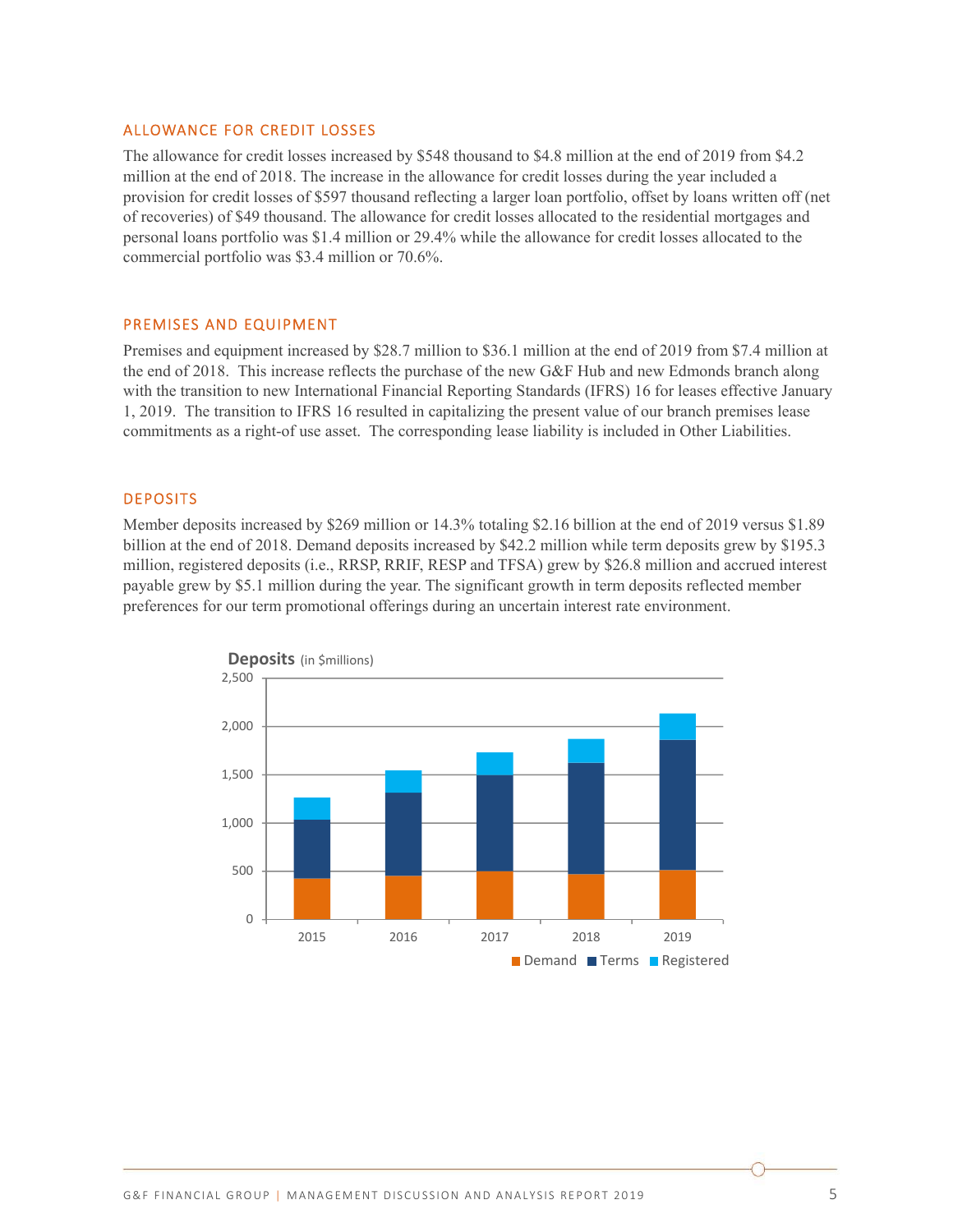#### ALLOWANCE FOR CREDIT LOSSES

The allowance for credit losses increased by \$548 thousand to \$4.8 million at the end of 2019 from \$4.2 million at the end of 2018. The increase in the allowance for credit losses during the year included a provision for credit losses of \$597 thousand reflecting a larger loan portfolio, offset by loans written off (net of recoveries) of \$49 thousand. The allowance for credit losses allocated to the residential mortgages and personal loans portfolio was \$1.4 million or 29.4% while the allowance for credit losses allocated to the commercial portfolio was \$3.4 million or 70.6%.

#### PREMISES AND EQUIPMENT

Premises and equipment increased by \$28.7 million to \$36.1 million at the end of 2019 from \$7.4 million at the end of 2018. This increase reflects the purchase of the new G&F Hub and new Edmonds branch along with the transition to new International Financial Reporting Standards (IFRS) 16 for leases effective January 1, 2019. The transition to IFRS 16 resulted in capitalizing the present value of our branch premises lease commitments as a right-of use asset. The corresponding lease liability is included in Other Liabilities.

#### DEPOSITS

Member deposits increased by \$269 million or 14.3% totaling \$2.16 billion at the end of 2019 versus \$1.89 billion at the end of 2018. Demand deposits increased by \$42.2 million while term deposits grew by \$195.3 million, registered deposits (i.e., RRSP, RRIF, RESP and TFSA) grew by \$26.8 million and accrued interest payable grew by \$5.1 million during the year. The significant growth in term deposits reflected member preferences for our term promotional offerings during an uncertain interest rate environment.

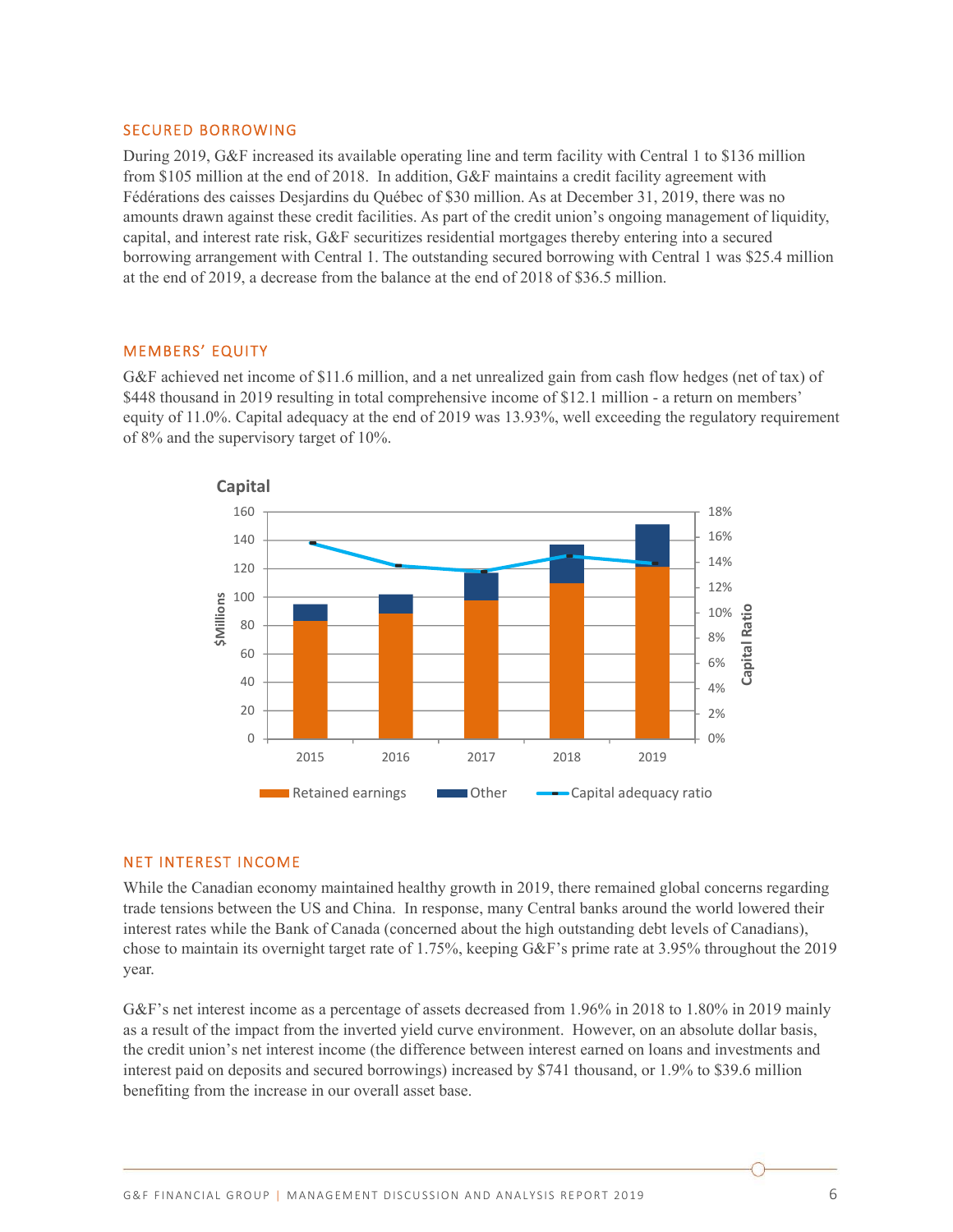#### SECURED BORROWING

During 2019, G&F increased its available operating line and term facility with Central 1 to \$136 million from \$105 million at the end of 2018. In addition, G&F maintains a credit facility agreement with Fédérations des caisses Desjardins du Québec of \$30 million. As at December 31, 2019, there was no amounts drawn against these credit facilities. As part of the credit union's ongoing management of liquidity, capital, and interest rate risk, G&F securitizes residential mortgages thereby entering into a secured borrowing arrangement with Central 1. The outstanding secured borrowing with Central 1 was \$25.4 million at the end of 2019, a decrease from the balance at the end of 2018 of \$36.5 million.

#### MEMBERS' EQUITY

G&F achieved net income of \$11.6 million, and a net unrealized gain from cash flow hedges (net of tax) of \$448 thousand in 2019 resulting in total comprehensive income of \$12.1 million - a return on members' equity of 11.0%. Capital adequacy at the end of 2019 was 13.93%, well exceeding the regulatory requirement of 8% and the supervisory target of 10%.



#### NET INTEREST INCOME

While the Canadian economy maintained healthy growth in 2019, there remained global concerns regarding trade tensions between the US and China. In response, many Central banks around the world lowered their interest rates while the Bank of Canada (concerned about the high outstanding debt levels of Canadians), chose to maintain its overnight target rate of 1.75%, keeping G&F's prime rate at 3.95% throughout the 2019 year.

G&F's net interest income as a percentage of assets decreased from 1.96% in 2018 to 1.80% in 2019 mainly as a result of the impact from the inverted yield curve environment. However, on an absolute dollar basis, the credit union's net interest income (the difference between interest earned on loans and investments and interest paid on deposits and secured borrowings) increased by \$741 thousand, or 1.9% to \$39.6 million benefiting from the increase in our overall asset base.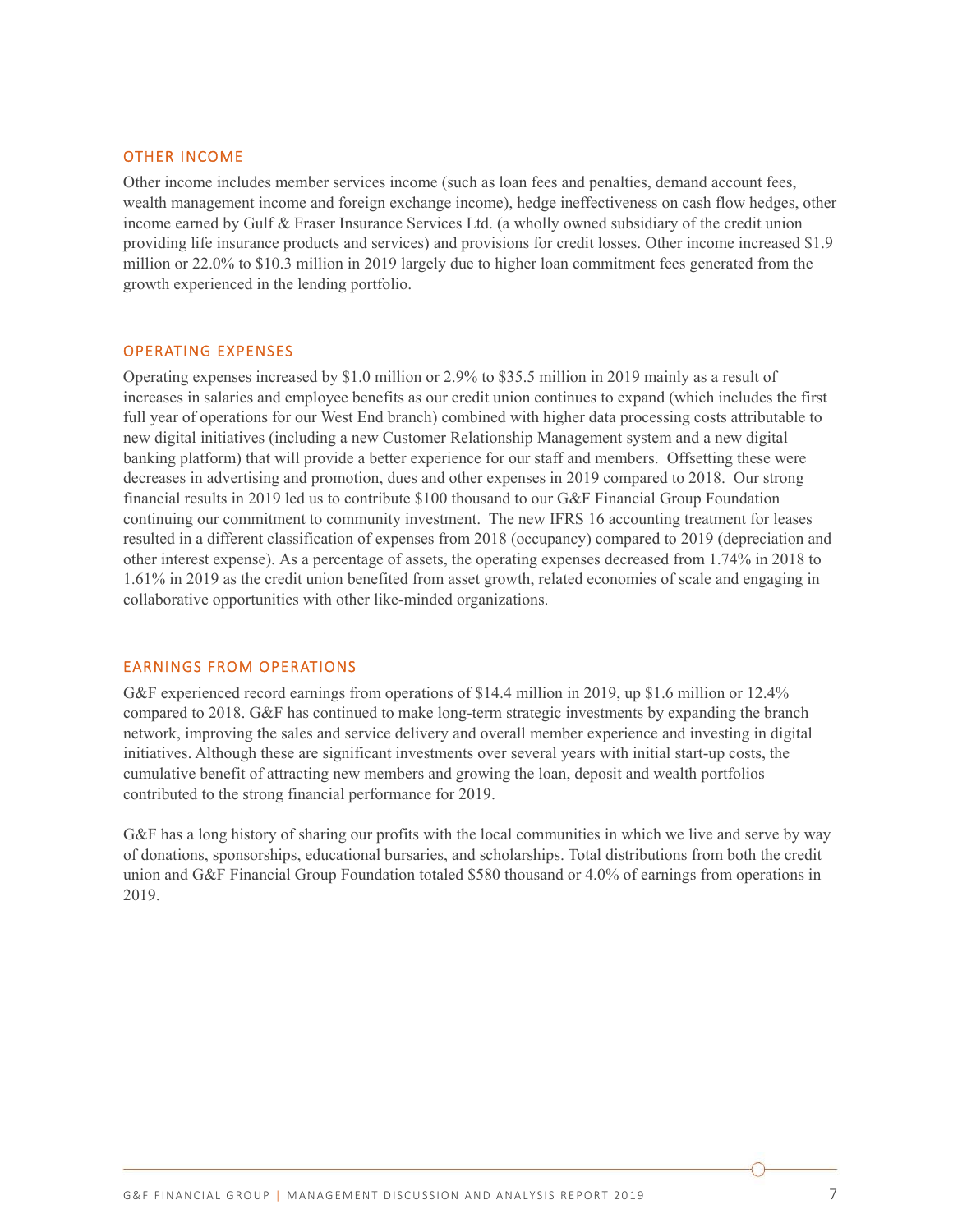#### OTHER INCOME

Other income includes member services income (such as loan fees and penalties, demand account fees, wealth management income and foreign exchange income), hedge ineffectiveness on cash flow hedges, other income earned by Gulf & Fraser Insurance Services Ltd. (a wholly owned subsidiary of the credit union providing life insurance products and services) and provisions for credit losses. Other income increased \$1.9 million or 22.0% to \$10.3 million in 2019 largely due to higher loan commitment fees generated from the growth experienced in the lending portfolio.

#### OPERATING EXPENSES

Operating expenses increased by \$1.0 million or 2.9% to \$35.5 million in 2019 mainly as a result of increases in salaries and employee benefits as our credit union continues to expand (which includes the first full year of operations for our West End branch) combined with higher data processing costs attributable to new digital initiatives (including a new Customer Relationship Management system and a new digital banking platform) that will provide a better experience for our staff and members. Offsetting these were decreases in advertising and promotion, dues and other expenses in 2019 compared to 2018. Our strong financial results in 2019 led us to contribute \$100 thousand to our G&F Financial Group Foundation continuing our commitment to community investment. The new IFRS 16 accounting treatment for leases resulted in a different classification of expenses from 2018 (occupancy) compared to 2019 (depreciation and other interest expense). As a percentage of assets, the operating expenses decreased from 1.74% in 2018 to 1.61% in 2019 as the credit union benefited from asset growth, related economies of scale and engaging in collaborative opportunities with other like-minded organizations.

#### EARNINGS FROM OPERATIONS

G&F experienced record earnings from operations of \$14.4 million in 2019, up \$1.6 million or 12.4% compared to 2018. G&F has continued to make long-term strategic investments by expanding the branch network, improving the sales and service delivery and overall member experience and investing in digital initiatives. Although these are significant investments over several years with initial start-up costs, the cumulative benefit of attracting new members and growing the loan, deposit and wealth portfolios contributed to the strong financial performance for 2019.

G&F has a long history of sharing our profits with the local communities in which we live and serve by way of donations, sponsorships, educational bursaries, and scholarships. Total distributions from both the credit union and G&F Financial Group Foundation totaled \$580 thousand or 4.0% of earnings from operations in 2019.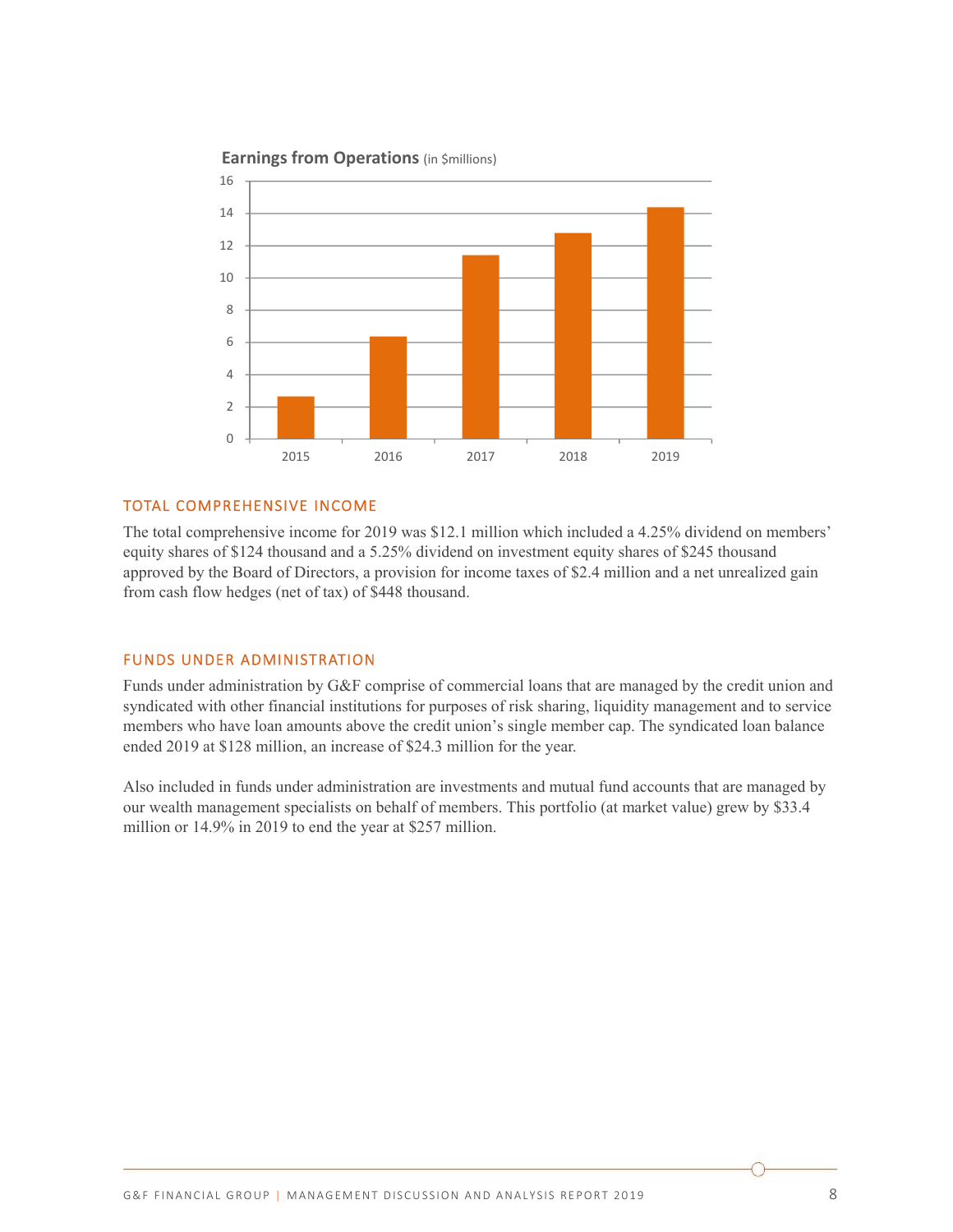

## **Earnings from Operations** (in \$millions) **Earnings from Operations** (in \$millions)

## TOTAL COMPREHENSIVE INCOME

The total comprehensive income for 2019 was \$12.1 million which included a 4.25% dividend on members' equity shares of \$124 thousand and a 5.25% dividend on investment equity shares of \$245 thousand approved by the Board of Directors, a provision for income taxes of \$2.4 million and a net unrealized gain from cash flow hedges (net of tax) of \$448 thousand.

#### FUNDS UNDER ADMINISTRATION

Funds under administration by G&F comprise of commercial loans that are managed by the credit union and syndicated with other financial institutions for purposes of risk sharing, liquidity management and to service members who have loan amounts above the credit union's single member cap. The syndicated loan balance ended 2019 at \$128 million, an increase of \$24.3 million for the year.

Also included in funds under administration are investments and mutual fund accounts that are managed by our wealth management specialists on behalf of members. This portfolio (at market value) grew by \$33.4 million or 14.9% in 2019 to end the year at \$257 million.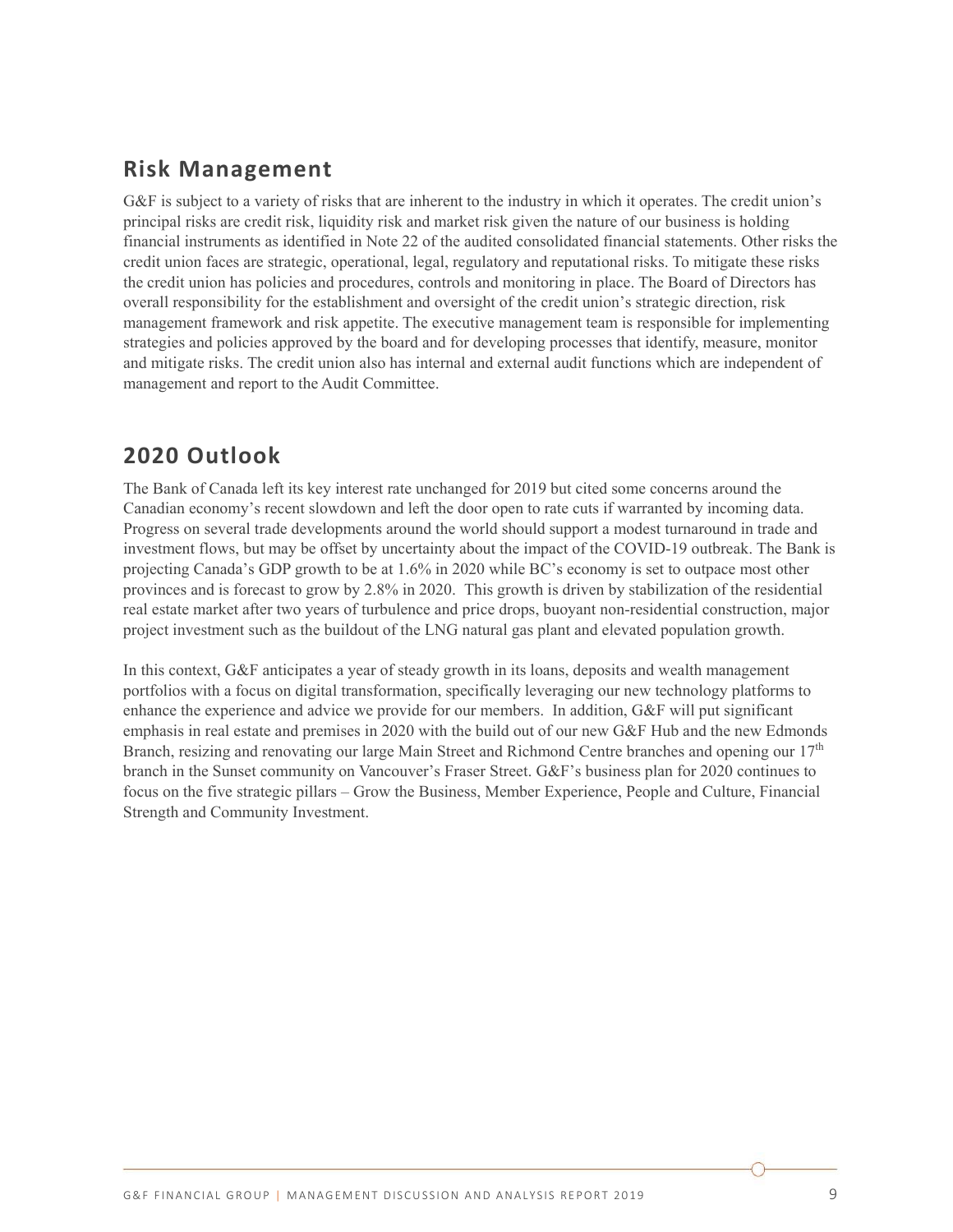## **Risk Management**

G&F is subject to a variety of risks that are inherent to the industry in which it operates. The credit union's principal risks are credit risk, liquidity risk and market risk given the nature of our business is holding financial instruments as identified in Note 22 of the audited consolidated financial statements. Other risks the credit union faces are strategic, operational, legal, regulatory and reputational risks. To mitigate these risks the credit union has policies and procedures, controls and monitoring in place. The Board of Directors has overall responsibility for the establishment and oversight of the credit union's strategic direction, risk management framework and risk appetite. The executive management team is responsible for implementing strategies and policies approved by the board and for developing processes that identify, measure, monitor and mitigate risks. The credit union also has internal and external audit functions which are independent of management and report to the Audit Committee.

# **2020 Outlook**

The Bank of Canada left its key interest rate unchanged for 2019 but cited some concerns around the Canadian economy's recent slowdown and left the door open to rate cuts if warranted by incoming data. Progress on several trade developments around the world should support a modest turnaround in trade and investment flows, but may be offset by uncertainty about the impact of the COVID-19 outbreak. The Bank is projecting Canada's GDP growth to be at 1.6% in 2020 while BC's economy is set to outpace most other provinces and is forecast to grow by 2.8% in 2020. This growth is driven by stabilization of the residential real estate market after two years of turbulence and price drops, buoyant non-residential construction, major project investment such as the buildout of the LNG natural gas plant and elevated population growth.

In this context, G&F anticipates a year of steady growth in its loans, deposits and wealth management portfolios with a focus on digital transformation, specifically leveraging our new technology platforms to enhance the experience and advice we provide for our members. In addition, G&F will put significant emphasis in real estate and premises in 2020 with the build out of our new G&F Hub and the new Edmonds Branch, resizing and renovating our large Main Street and Richmond Centre branches and opening our  $17<sup>th</sup>$ branch in the Sunset community on Vancouver's Fraser Street. G&F's business plan for 2020 continues to focus on the five strategic pillars – Grow the Business, Member Experience, People and Culture, Financial Strength and Community Investment.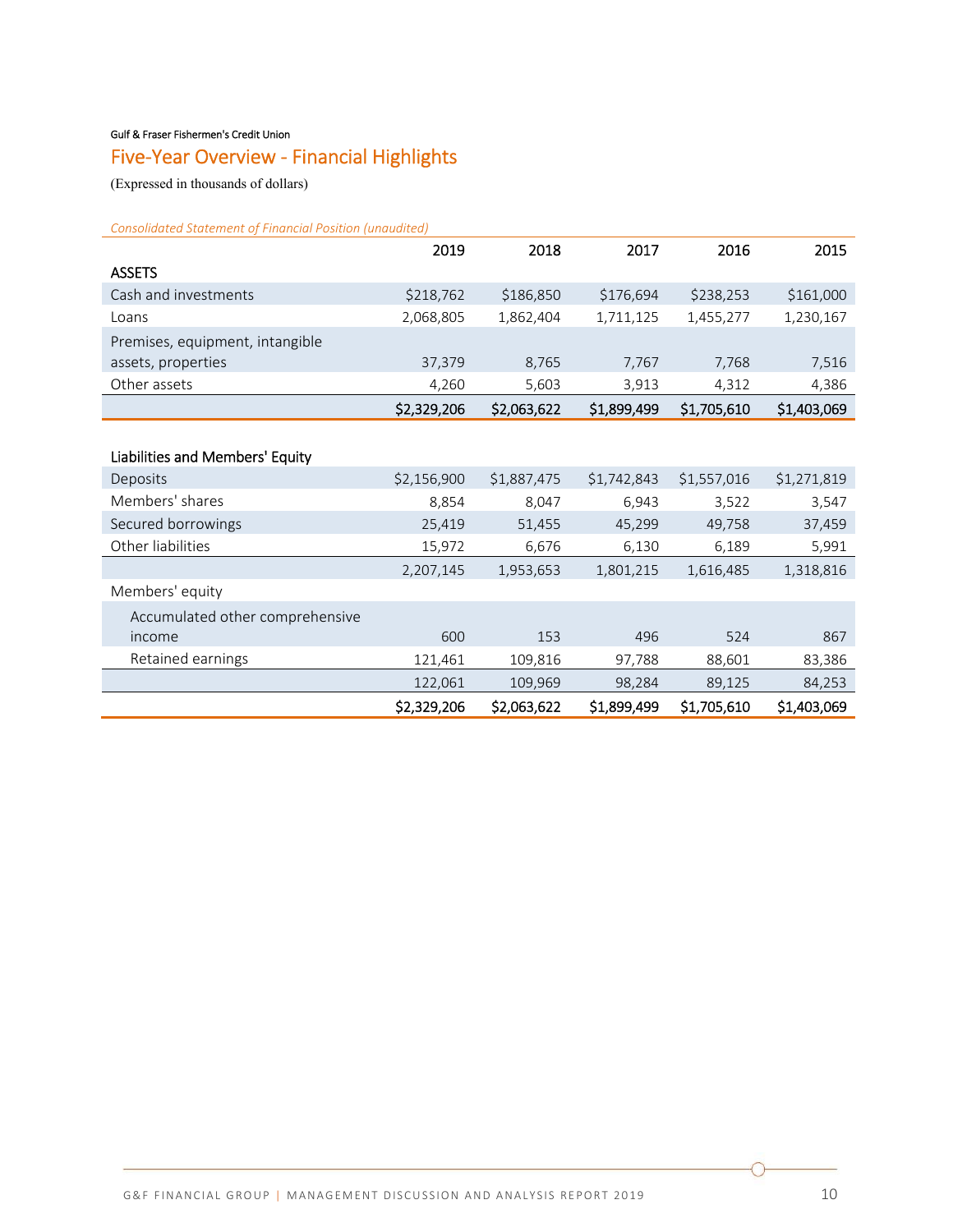#### Gulf & Fraser Fishermen's Credit Union

# Five‐Year Overview ‐ Financial Highlights

(Expressed in thousands of dollars)

*Consolidated Statement of Financial Position (unaudited)* 

|                                 | 2019        | 2018        | 2017        | 2016        | 2015        |
|---------------------------------|-------------|-------------|-------------|-------------|-------------|
| <b>ASSETS</b>                   |             |             |             |             |             |
| Cash and investments            | \$218,762   | \$186,850   | \$176,694   | \$238,253   | \$161,000   |
| Loans                           | 2,068,805   | 1,862,404   | 1,711,125   | 1,455,277   | 1,230,167   |
| Premises, equipment, intangible |             |             |             |             |             |
| assets, properties              | 37,379      | 8,765       | 7,767       | 7,768       | 7,516       |
| Other assets                    | 4,260       | 5,603       | 3,913       | 4,312       | 4,386       |
|                                 | \$2,329,206 | \$2,063,622 | \$1,899,499 | \$1,705,610 | \$1,403,069 |
|                                 |             |             |             |             |             |
| Liabilities and Members' Equity |             |             |             |             |             |
| Deposits                        | \$2,156,900 | \$1,887,475 | \$1,742,843 | \$1,557,016 | \$1,271,819 |
| Members' shares                 | 8,854       | 8,047       | 6,943       | 3,522       | 3,547       |
| Secured borrowings              | 25,419      | 51,455      | 45,299      | 49,758      | 37,459      |
| Other liabilities               | 15,972      | 6,676       | 6,130       | 6,189       | 5,991       |
|                                 | 2,207,145   | 1,953,653   | 1,801,215   | 1,616,485   | 1,318,816   |
| Members' equity                 |             |             |             |             |             |
| Accumulated other comprehensive |             |             |             |             |             |
| income                          | 600         | 153         | 496         | 524         | 867         |
| Retained earnings               | 121,461     | 109,816     | 97,788      | 88,601      | 83,386      |
|                                 | 122,061     | 109,969     | 98,284      | 89,125      | 84,253      |
|                                 | \$2,329,206 | \$2,063,622 | \$1,899,499 | \$1,705,610 | \$1,403,069 |

∩